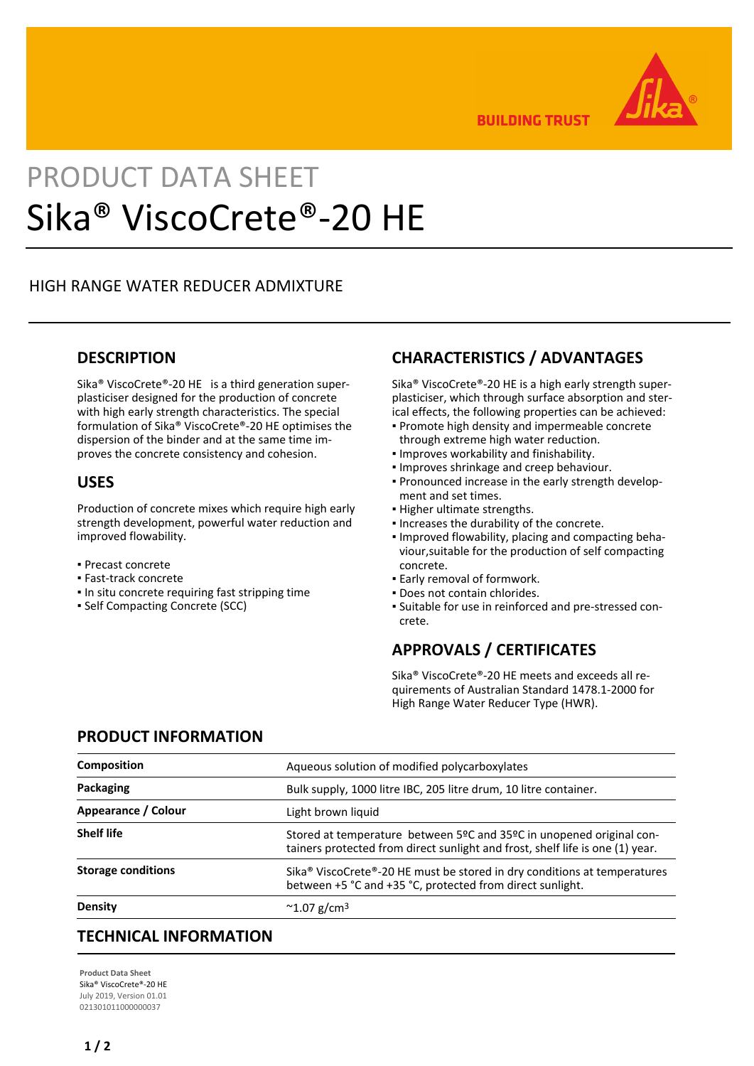

**BUILDING TRUST** 

# PRODUCT DATA SHEET Sika® ViscoCrete®-20 HE

## HIGH RANGE WATER REDUCER ADMIXTURE

### **DESCRIPTION**

Sika® ViscoCrete®-20 HE is a third generation superplasticiser designed for the production of concrete with high early strength characteristics. The special formulation of Sika® ViscoCrete®-20 HE optimises the dispersion of the binder and at the same time improves the concrete consistency and cohesion.

#### **USES**

Production of concrete mixes which require high early strength development, powerful water reduction and improved flowability.

- Precast concrete
- Fast-track concrete
- In situ concrete requiring fast stripping time
- Self Compacting Concrete (SCC)

# **CHARACTERISTICS / ADVANTAGES**

Sika® ViscoCrete®-20 HE is a high early strength superplasticiser, which through surface absorption and sterical effects, the following properties can be achieved:

- **Promote high density and impermeable concrete** through extreme high water reduction.
- Improves workability and finishability.
- Improves shrinkage and creep behaviour.
- Pronounced increase in the early strength develop-▪ ment and set times.
- Higher ultimate strengths.
- Increases the durability of the concrete.
- **.** Improved flowability, placing and compacting behaviour,suitable for the production of self compacting concrete.
- **Early removal of formwork.**
- Does not contain chlorides.
- Suitable for use in reinforced and pre-stressed con-▪ crete.

## **APPROVALS / CERTIFICATES**

Sika® ViscoCrete®-20 HE meets and exceeds all requirements of Australian Standard 1478.1-2000 for High Range Water Reducer Type (HWR).

#### **PRODUCT INFORMATION**

| <b>Composition</b>        | Aqueous solution of modified polycarboxylates                                                                                                         |
|---------------------------|-------------------------------------------------------------------------------------------------------------------------------------------------------|
| Packaging                 | Bulk supply, 1000 litre IBC, 205 litre drum, 10 litre container.                                                                                      |
| Appearance / Colour       | Light brown liquid                                                                                                                                    |
| <b>Shelf life</b>         | Stored at temperature between 5ºC and 35ºC in unopened original con-<br>tainers protected from direct sunlight and frost, shelf life is one (1) year. |
| <b>Storage conditions</b> | Sika® ViscoCrete®-20 HE must be stored in dry conditions at temperatures<br>between +5 °C and +35 °C, protected from direct sunlight.                 |
| <b>Density</b>            | $^{\sim}$ 1.07 g/cm <sup>3</sup>                                                                                                                      |

#### **TECHNICAL INFORMATION**

**Product Data Sheet** Sika® ViscoCrete®-20 HE July 2019, Version 01.01 021301011000000037